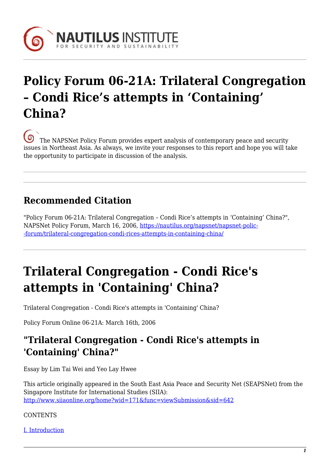

# **Policy Forum 06-21A: Trilateral Congregation – Condi Rice's attempts in 'Containing' China?**

[T](https://nautilus.org/wp-content/uploads/2013/05/nautilus-logo-small.png)he NAPSNet Policy Forum provides expert analysis of contemporary peace and security issues in Northeast Asia. As always, we invite your responses to this report and hope you will take the opportunity to participate in discussion of the analysis.

## **Recommended Citation**

"Policy Forum 06-21A: Trilateral Congregation – Condi Rice's attempts in 'Containing' China?", NAPSNet Policy Forum, March 16, 2006, [https://nautilus.org/napsnet/napsnet-polic-](https://nautilus.org/napsnet/napsnet-policy-forum/trilateral-congregation-condi-rices-attempts-in-containing-china/) [-forum/trilateral-congregation-condi-rices-attempts-in-containing-china/](https://nautilus.org/napsnet/napsnet-policy-forum/trilateral-congregation-condi-rices-attempts-in-containing-china/)

# **Trilateral Congregation - Condi Rice's attempts in 'Containing' China?**

Trilateral Congregation - Condi Rice's attempts in 'Containing' China?

Policy Forum Online 06-21A: March 16th, 2006

## **"Trilateral Congregation - Condi Rice's attempts in 'Containing' China?"**

Essay by Lim Tai Wei and Yeo Lay Hwee

This article originally appeared in the South East Asia Peace and Security Net (SEAPSNet) from the Singapore Institute for International Studies (SIIA): <http://www.siiaonline.org/home?wid=171&func=viewSubmission&sid=642>

### **CONTENTS**

[I. Introduction](#page-1-0)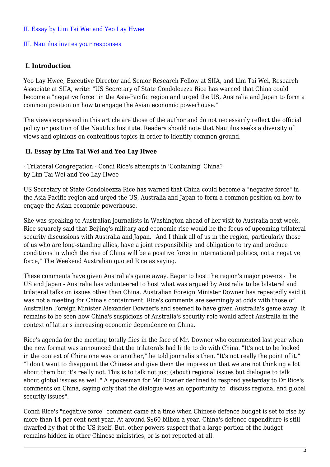#### [II. Essay by Lim Tai Wei and Yeo Lay Hwee](#page-1-1)

#### [III. Nautilus invites your responses](#page-3-0)

#### <span id="page-1-0"></span> **I. Introduction**

Yeo Lay Hwee, Executive Director and Senior Research Fellow at SIIA, and Lim Tai Wei, Research Associate at SIIA, write: "US Secretary of State Condoleezza Rice has warned that China could become a "negative force" in the Asia-Pacific region and urged the US, Australia and Japan to form a common position on how to engage the Asian economic powerhouse."

The views expressed in this article are those of the author and do not necessarily reflect the official policy or position of the Nautilus Institute. Readers should note that Nautilus seeks a diversity of views and opinions on contentious topics in order to identify common ground.

#### <span id="page-1-1"></span> **II. Essay by Lim Tai Wei and Yeo Lay Hwee**

- Trilateral Congregation - Condi Rice's attempts in 'Containing' China? by Lim Tai Wei and Yeo Lay Hwee

US Secretary of State Condoleezza Rice has warned that China could become a "negative force" in the Asia-Pacific region and urged the US, Australia and Japan to form a common position on how to engage the Asian economic powerhouse.

She was speaking to Australian journalists in Washington ahead of her visit to Australia next week. Rice squarely said that Beijing's military and economic rise would be the focus of upcoming trilateral security discussions with Australia and Japan. "And I think all of us in the region, particularly those of us who are long-standing allies, have a joint responsibility and obligation to try and produce conditions in which the rise of China will be a positive force in international politics, not a negative force," The Weekend Australian quoted Rice as saying.

These comments have given Australia's game away. Eager to host the region's major powers - the US and Japan - Australia has volunteered to host what was argued by Australia to be bilateral and trilateral talks on issues other than China. Australian Foreign Minister Downer has repeatedly said it was not a meeting for China's containment. Rice's comments are seemingly at odds with those of Australian Foreign Minister Alexander Downer's and seemed to have given Australia's game away. It remains to be seen how China's suspicions of Australia's security role would affect Australia in the context of latter's increasing economic dependence on China.

Rice's agenda for the meeting totally flies in the face of Mr. Downer who commented last year when the new format was announced that the trilaterals had little to do with China. "It's not to be looked in the context of China one way or another," he told journalists then. "It's not really the point of it." "I don't want to disappoint the Chinese and give them the impression that we are not thinking a lot about them but it's really not. This is to talk not just (about) regional issues but dialogue to talk about global issues as well." A spokesman for Mr Downer declined to respond yesterday to Dr Rice's comments on China, saying only that the dialogue was an opportunity to "discuss regional and global security issues".

Condi Rice's "negative force" comment came at a time when Chinese defence budget is set to rise by more than 14 per cent next year. At around S\$60 billion a year, China's defence expenditure is still dwarfed by that of the US itself. But, other powers suspect that a large portion of the budget remains hidden in other Chinese ministries, or is not reported at all.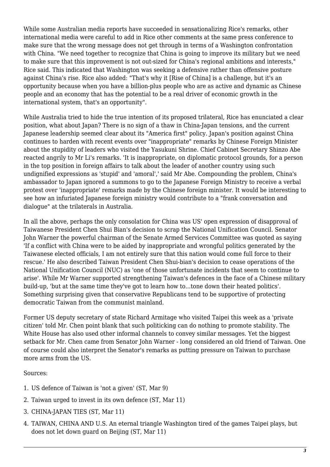While some Australian media reports have succeeded in sensationalizing Rice's remarks, other international media were careful to add in Rice other comments at the same press conference to make sure that the wrong message does not get through in terms of a Washington confrontation with China. "We need together to recognize that China is going to improve its military but we need to make sure that this improvement is not out-sized for China's regional ambitions and interests," Rice said. This indicated that Washington was seeking a defensive rather than offensive posture against China's rise. Rice also added: "That's why it [Rise of China] is a challenge, but it's an opportunity because when you have a billion-plus people who are as active and dynamic as Chinese people and an economy that has the potential to be a real driver of economic growth in the international system, that's an opportunity".

While Australia tried to hide the true intention of its proposed trilateral, Rice has enunciated a clear position, what about Japan? There is no sign of a thaw in China-Japan tensions, and the current Japanese leadership seemed clear about its "America first" policy. Japan's position against China continues to harden with recent events over "inappropriate" remarks by Chinese Foreign Minister about the stupidity of leaders who visited the Yasukuni Shrine. Chief Cabinet Secretary Shinzo Abe reacted angrily to Mr Li's remarks. 'It is inappropriate, on diplomatic protocol grounds, for a person in the top position in foreign affairs to talk about the leader of another country using such undignified expressions as 'stupid' and 'amoral',' said Mr Abe. Compounding the problem, China's ambassador to Japan ignored a summons to go to the Japanese Foreign Ministry to receive a verbal protest over 'inappropriate' remarks made by the Chinese foreign minister. It would be interesting to see how an infuriated Japanese foreign ministry would contribute to a "frank conversation and dialogue" at the trilaterals in Australia.

In all the above, perhaps the only consolation for China was US' open expression of disapproval of Taiwanese President Chen Shui Bian's decision to scrap the National Unification Council. Senator John Warner the powerful chairman of the Senate Armed Services Committee was quoted as saying 'If a conflict with China were to be aided by inappropriate and wrongful politics generated by the Taiwanese elected officials, I am not entirely sure that this nation would come full force to their rescue.' He also described Taiwan President Chen Shui-bian's decision to cease operations of the National Unification Council (NUC) as 'one of those unfortunate incidents that seem to continue to arise'. While Mr Warner supported strengthening Taiwan's defences in the face of a Chinese military build-up, 'but at the same time they've got to learn how to...tone down their heated politics'. Something surprising given that conservative Republicans tend to be supportive of protecting democratic Taiwan from the communist mainland.

Former US deputy secretary of state Richard Armitage who visited Taipei this week as a 'private citizen' told Mr. Chen point blank that such politicking can do nothing to promote stability. The White House has also used other informal channels to convey similar messages. Yet the biggest setback for Mr. Chen came from Senator John Warner - long considered an old friend of Taiwan. One of course could also interpret the Senator's remarks as putting pressure on Taiwan to purchase more arms from the US.

Sources:

- 1. US defence of Taiwan is 'not a given' (ST, Mar 9)
- 2. Taiwan urged to invest in its own defence (ST, Mar 11)
- 3. CHINA-JAPAN TIES (ST, Mar 11)
- 4. TAIWAN, CHINA AND U.S. An eternal triangle Washington tired of the games Taipei plays, but does not let down guard on Beijing (ST, Mar 11)